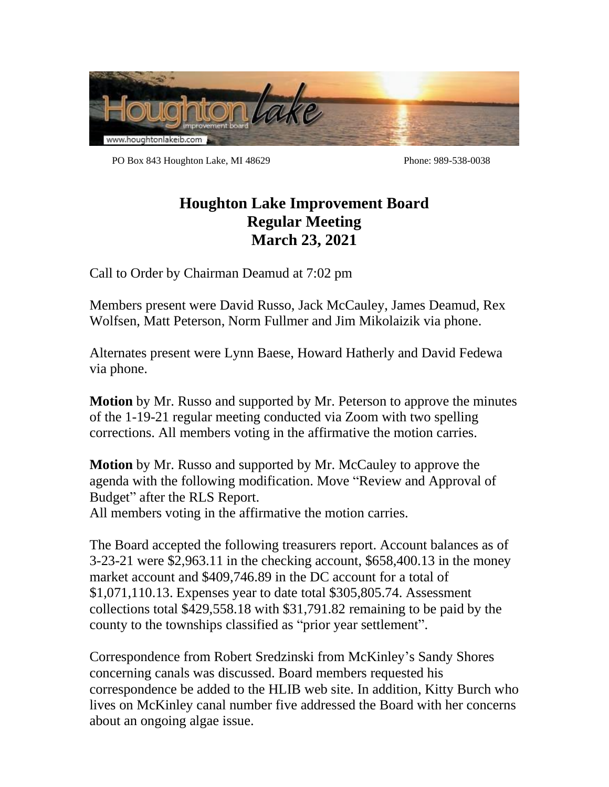

PO Box 843 Houghton Lake, MI 48629 Phone: 989-538-0038

## **Houghton Lake Improvement Board Regular Meeting March 23, 2021**

Call to Order by Chairman Deamud at 7:02 pm

Members present were David Russo, Jack McCauley, James Deamud, Rex Wolfsen, Matt Peterson, Norm Fullmer and Jim Mikolaizik via phone.

Alternates present were Lynn Baese, Howard Hatherly and David Fedewa via phone.

**Motion** by Mr. Russo and supported by Mr. Peterson to approve the minutes of the 1-19-21 regular meeting conducted via Zoom with two spelling corrections. All members voting in the affirmative the motion carries.

**Motion** by Mr. Russo and supported by Mr. McCauley to approve the agenda with the following modification. Move "Review and Approval of Budget" after the RLS Report.

All members voting in the affirmative the motion carries.

The Board accepted the following treasurers report. Account balances as of 3-23-21 were \$2,963.11 in the checking account, \$658,400.13 in the money market account and \$409,746.89 in the DC account for a total of \$1,071,110.13. Expenses year to date total \$305,805.74. Assessment collections total \$429,558.18 with \$31,791.82 remaining to be paid by the county to the townships classified as "prior year settlement".

Correspondence from Robert Sredzinski from McKinley's Sandy Shores concerning canals was discussed. Board members requested his correspondence be added to the HLIB web site. In addition, Kitty Burch who lives on McKinley canal number five addressed the Board with her concerns about an ongoing algae issue.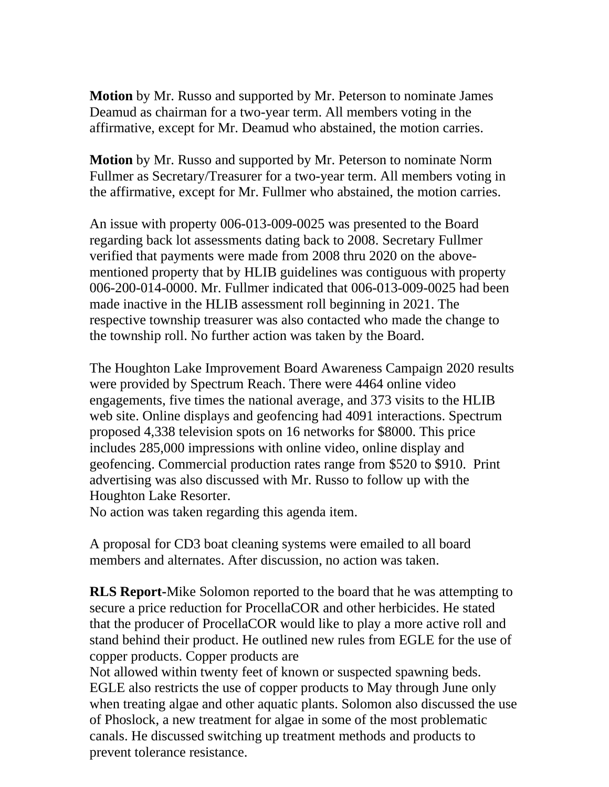**Motion** by Mr. Russo and supported by Mr. Peterson to nominate James Deamud as chairman for a two-year term. All members voting in the affirmative, except for Mr. Deamud who abstained, the motion carries.

**Motion** by Mr. Russo and supported by Mr. Peterson to nominate Norm Fullmer as Secretary/Treasurer for a two-year term. All members voting in the affirmative, except for Mr. Fullmer who abstained, the motion carries.

An issue with property 006-013-009-0025 was presented to the Board regarding back lot assessments dating back to 2008. Secretary Fullmer verified that payments were made from 2008 thru 2020 on the abovementioned property that by HLIB guidelines was contiguous with property 006-200-014-0000. Mr. Fullmer indicated that 006-013-009-0025 had been made inactive in the HLIB assessment roll beginning in 2021. The respective township treasurer was also contacted who made the change to the township roll. No further action was taken by the Board.

The Houghton Lake Improvement Board Awareness Campaign 2020 results were provided by Spectrum Reach. There were 4464 online video engagements, five times the national average, and 373 visits to the HLIB web site. Online displays and geofencing had 4091 interactions. Spectrum proposed 4,338 television spots on 16 networks for \$8000. This price includes 285,000 impressions with online video, online display and geofencing. Commercial production rates range from \$520 to \$910. Print advertising was also discussed with Mr. Russo to follow up with the Houghton Lake Resorter.

No action was taken regarding this agenda item.

A proposal for CD3 boat cleaning systems were emailed to all board members and alternates. After discussion, no action was taken.

**RLS Report-**Mike Solomon reported to the board that he was attempting to secure a price reduction for ProcellaCOR and other herbicides. He stated that the producer of ProcellaCOR would like to play a more active roll and stand behind their product. He outlined new rules from EGLE for the use of copper products. Copper products are

Not allowed within twenty feet of known or suspected spawning beds. EGLE also restricts the use of copper products to May through June only when treating algae and other aquatic plants. Solomon also discussed the use of Phoslock, a new treatment for algae in some of the most problematic canals. He discussed switching up treatment methods and products to prevent tolerance resistance.